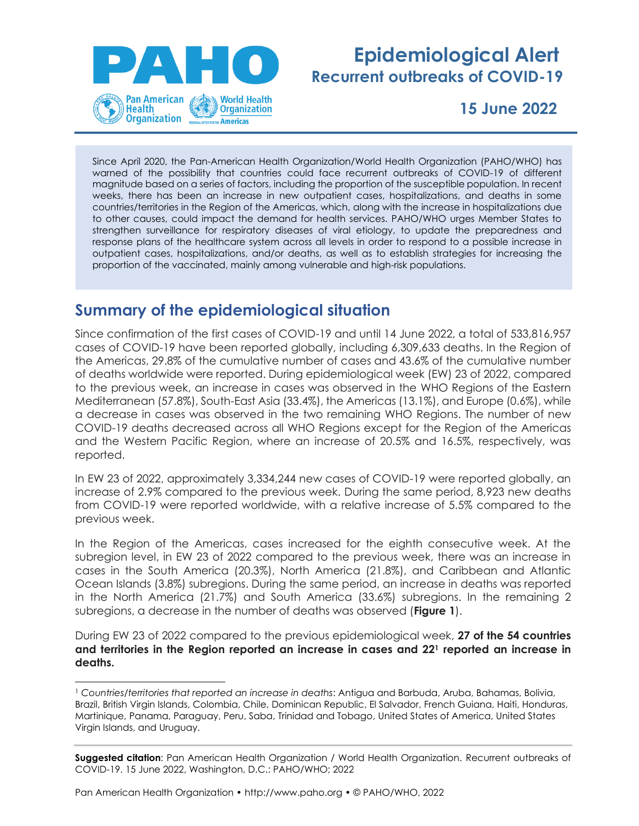

# **Epidemiological Alert Recurrent outbreaks of COVID-19**

**15 June 2022**

Since April 2020, the Pan-American Health Organization/World Health Organization (PAHO/WHO) has warned of the possibility that countries could face recurrent outbreaks of COVID-19 of different magnitude based on a series of factors, including the proportion of the susceptible population. In recent weeks, there has been an increase in new outpatient cases, hospitalizations, and deaths in some countries/territories in the Region of the Americas, which, along with the increase in hospitalizations due to other causes, could impact the demand for health services. PAHO/WHO urges Member States to strengthen surveillance for respiratory diseases of viral etiology, to update the preparedness and response plans of the healthcare system across all levels in order to respond to a possible increase in outpatient cases, hospitalizations, and/or deaths, as well as to establish strategies for increasing the proportion of the vaccinated, mainly among vulnerable and high-risk populations.

# **Summary of the epidemiological situation**

Since confirmation of the first cases of COVID-19 and until 14 June 2022, a total of 533,816,957 cases of COVID-19 have been reported globally, including 6,309,633 deaths. In the Region of the Americas, 29.8% of the cumulative number of cases and 43.6% of the cumulative number of deaths worldwide were reported. During epidemiological week (EW) 23 of 2022, compared to the previous week, an increase in cases was observed in the WHO Regions of the Eastern Mediterranean (57.8%), South-East Asia (33.4%), the Americas (13.1%), and Europe (0.6%), while a decrease in cases was observed in the two remaining WHO Regions. The number of new COVID-19 deaths decreased across all WHO Regions except for the Region of the Americas and the Western Pacific Region, where an increase of 20.5% and 16.5%, respectively, was reported.

In EW 23 of 2022, approximately 3,334,244 new cases of COVID-19 were reported globally, an increase of 2.9% compared to the previous week. During the same period, 8,923 new deaths from COVID-19 were reported worldwide, with a relative increase of 5.5% compared to the previous week.

In the Region of the Americas, cases increased for the eighth consecutive week. At the subregion level, in EW 23 of 2022 compared to the previous week, there was an increase in cases in the South America (20.3%), North America (21.8%), and Caribbean and Atlantic Ocean Islands (3.8%) subregions. During the same period, an increase in deaths was reported in the North America (21.7%) and South America (33.6%) subregions. In the remaining 2 subregions, a decrease in the number of deaths was observed (**Figure 1**).

During EW 23 of 2022 compared to the previous epidemiological week, **27 of the 54 countries and territories in the Region reported an increase in cases and 22<sup>1</sup> reported an increase in deaths.**

**Suggested citation**: Pan American Health Organization / World Health Organization. Recurrent outbreaks of COVID-19. 15 June 2022, Washington, D.C.: PAHO/WHO; 2022

Pan American Health Organization • http://www.paho.org • © PAHO/WHO, 2022

<sup>1</sup> *Countries/territories that reported an increase in deaths*: Antigua and Barbuda, Aruba, Bahamas, Bolivia, Brazil, British Virgin Islands, Colombia, Chile, Dominican Republic, El Salvador, French Guiana, Haiti, Honduras, Martinique, Panama, Paraguay, Peru, Saba, Trinidad and Tobago, United States of America, United States Virgin Islands, and Uruguay.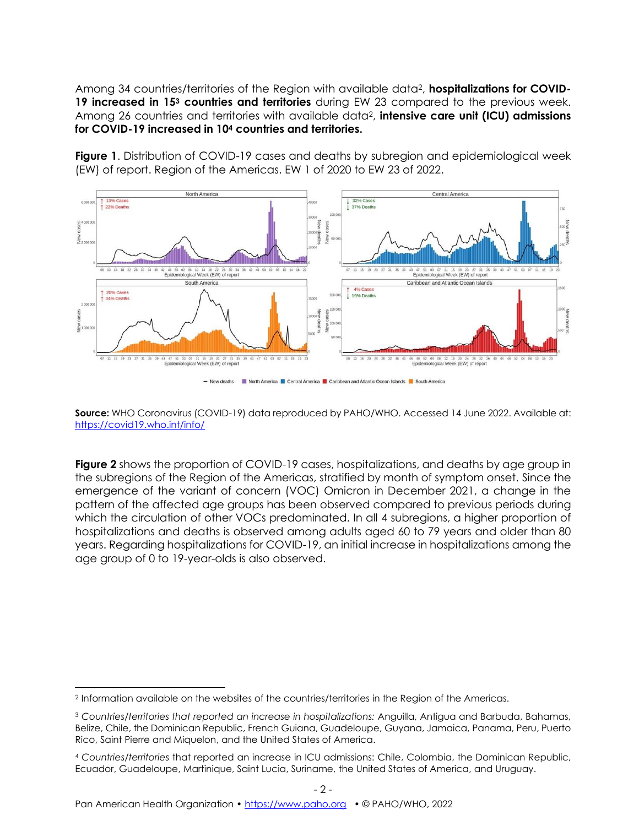Among 34 countries/territories of the Region with available data2, **hospitalizations for COVID-19 increased in 15<sup>3</sup> countries and territories** during EW 23 compared to the previous week. Among 26 countries and territories with available data2, **intensive care unit (ICU) admissions for COVID-19 increased in 10<sup>4</sup> countries and territories.**

**Figure 1**. Distribution of COVID-19 cases and deaths by subregion and epidemiological week (EW) of report. Region of the Americas. EW 1 of 2020 to EW 23 of 2022.



- New deaths **North America Contral America Caribbean and Atlantic Ocean Islands North America** 

**Source:** WHO Coronavirus (COVID-19) data reproduced by PAHO/WHO. Accessed 14 June 2022. Available at: <https://covid19.who.int/info/>

**Figure 2** shows the proportion of COVID-19 cases, hospitalizations, and deaths by age group in the subregions of the Region of the Americas, stratified by month of symptom onset. Since the emergence of the variant of concern (VOC) Omicron in December 2021, a change in the pattern of the affected age groups has been observed compared to previous periods during which the circulation of other VOCs predominated. In all 4 subregions, a higher proportion of hospitalizations and deaths is observed among adults aged 60 to 79 years and older than 80 years. Regarding hospitalizations for COVID-19, an initial increase in hospitalizations among the age group of 0 to 19-year-olds is also observed.

- 2 -

<sup>2</sup> Information available on the websites of the countries/territories in the Region of the Americas.

<sup>3</sup> *Countries/territories that reported an increase in hospitalizations:* Anguilla, Antigua and Barbuda, Bahamas, Belize, Chile, the Dominican Republic, French Guiana, Guadeloupe, Guyana, Jamaica, Panama, Peru, Puerto Rico, Saint Pierre and Miquelon, and the United States of America.

<sup>4</sup> *Countries/territories* that reported an increase in ICU admissions: Chile, Colombia, the Dominican Republic, Ecuador, Guadeloupe, Martinique, Saint Lucia, Suriname, the United States of America, and Uruguay.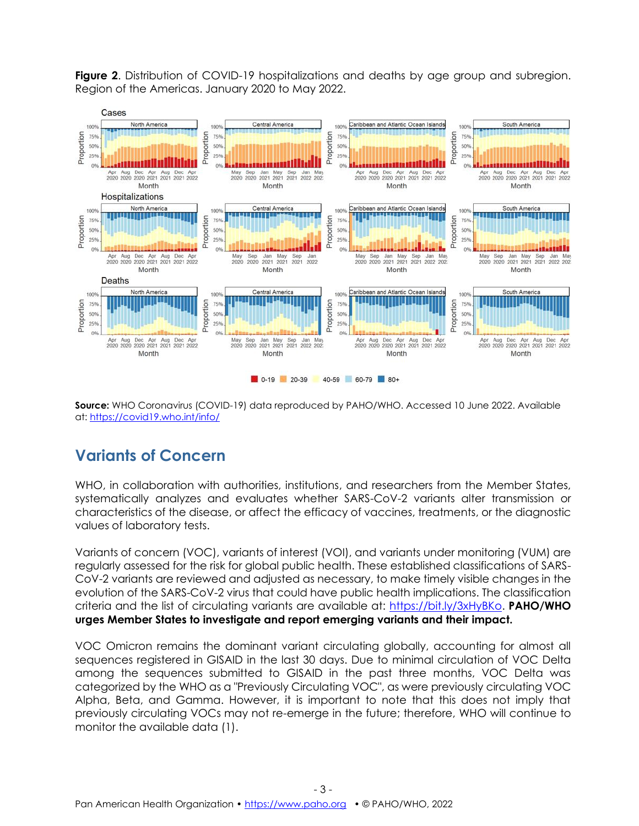**Figure 2.** Distribution of COVID-19 hospitalizations and deaths by age group and subregion. Region of the Americas. January 2020 to May 2022.



**Source:** WHO Coronavirus (COVID-19) data reproduced by PAHO/WHO. Accessed 10 June 2022. Available at:<https://covid19.who.int/info/>

# **Variants of Concern**

WHO, in collaboration with authorities, institutions, and researchers from the Member States, systematically analyzes and evaluates whether SARS-CoV-2 variants alter transmission or characteristics of the disease, or affect the efficacy of vaccines, treatments, or the diagnostic values of laboratory tests.

Variants of concern (VOC), variants of interest (VOI), and variants under monitoring (VUM) are regularly assessed for the risk for global public health. These established classifications of SARS-CoV-2 variants are reviewed and adjusted as necessary, to make timely visible changes in the evolution of the SARS-CoV-2 virus that could have public health implications. The classification criteria and the list of circulating variants are available at: [https://bit.ly/3xHyBKo.](https://bit.ly/3xHyBKo) **PAHO/WHO urges Member States to investigate and report emerging variants and their impact.**

VOC Omicron remains the dominant variant circulating globally, accounting for almost all sequences registered in GISAID in the last 30 days. Due to minimal circulation of VOC Delta among the sequences submitted to GISAID in the past three months, VOC Delta was categorized by the WHO as a "Previously Circulating VOC", as were previously circulating VOC Alpha, Beta, and Gamma. However, it is important to note that this does not imply that previously circulating VOCs may not re-emerge in the future; therefore, WHO will continue to monitor the available data (1).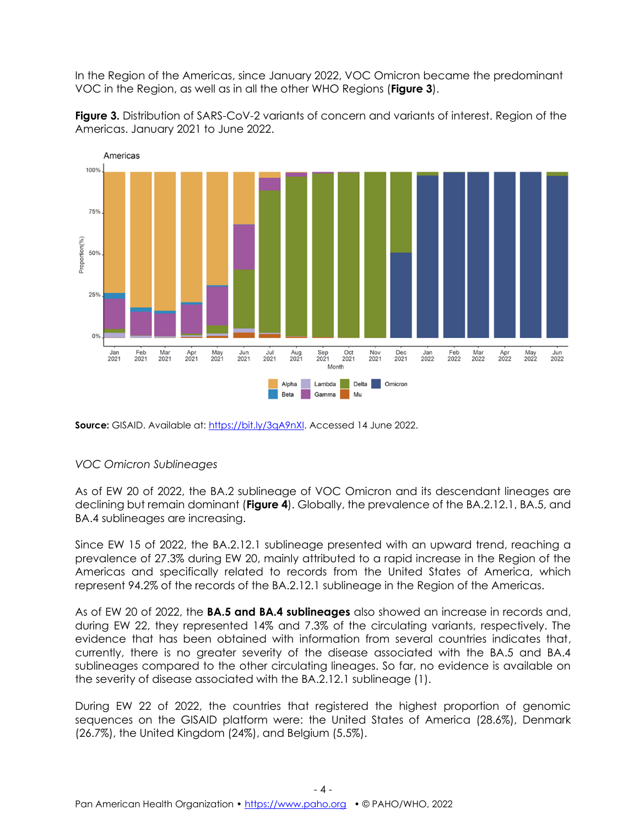In the Region of the Americas, since January 2022, VOC Omicron became the predominant VOC in the Region, as well as in all the other WHO Regions (**Figure 3**).

**Figure 3.** Distribution of SARS-CoV-2 variants of concern and variants of interest. Region of the Americas. January 2021 to June 2022.



Source: GISAID. Available at: [https://bit.ly/3qA9nXI.](https://bit.ly/3qA9nXI) Accessed 14 June 2022.

#### *VOC Omicron Sublineages*

As of EW 20 of 2022, the BA.2 sublineage of VOC Omicron and its descendant lineages are declining but remain dominant (**Figure 4**). Globally, the prevalence of the BA.2.12.1, BA.5, and BA.4 sublineages are increasing.

Since EW 15 of 2022, the BA.2.12.1 sublineage presented with an upward trend, reaching a prevalence of 27.3% during EW 20, mainly attributed to a rapid increase in the Region of the Americas and specifically related to records from the United States of America, which represent 94.2% of the records of the BA.2.12.1 sublineage in the Region of the Americas.

As of EW 20 of 2022, the **BA.5 and BA.4 sublineages** also showed an increase in records and, during EW 22, they represented 14% and 7.3% of the circulating variants, respectively. The evidence that has been obtained with information from several countries indicates that, currently, there is no greater severity of the disease associated with the BA.5 and BA.4 sublineages compared to the other circulating lineages. So far, no evidence is available on the severity of disease associated with the BA.2.12.1 sublineage (1).

During EW 22 of 2022, the countries that registered the highest proportion of genomic sequences on the GISAID platform were: the United States of America (28.6%), Denmark (26.7%), the United Kingdom (24%), and Belgium (5.5%).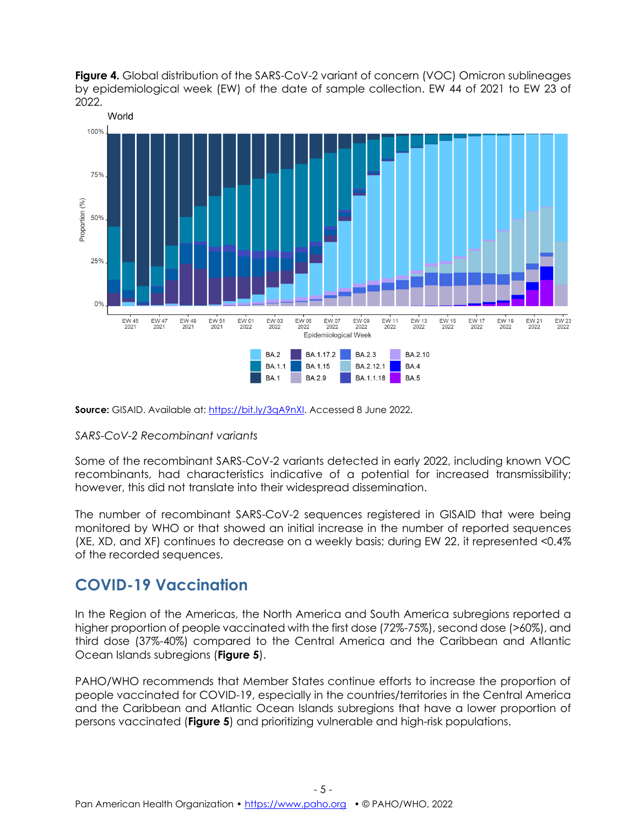



**Source:** GISAID. Available at: [https://bit.ly/3qA9nXI.](https://bit.ly/3qA9nXI) Accessed 8 June 2022.

#### *SARS-CoV-2 Recombinant variants*

Some of the recombinant SARS-CoV-2 variants detected in early 2022, including known VOC recombinants, had characteristics indicative of a potential for increased transmissibility; however, this did not translate into their widespread dissemination.

The number of recombinant SARS-CoV-2 sequences registered in GISAID that were being monitored by WHO or that showed an initial increase in the number of reported sequences (XE, XD, and XF) continues to decrease on a weekly basis; during EW 22, it represented <0.4% of the recorded sequences.

### **COVID-19 Vaccination**

In the Region of the Americas, the North America and South America subregions reported a higher proportion of people vaccinated with the first dose (72%-75%), second dose (>60%), and third dose (37%-40%) compared to the Central America and the Caribbean and Atlantic Ocean Islands subregions (**Figure 5**).

PAHO/WHO recommends that Member States continue efforts to increase the proportion of people vaccinated for COVID-19, especially in the countries/territories in the Central America and the Caribbean and Atlantic Ocean Islands subregions that have a lower proportion of persons vaccinated (**Figure 5**) and prioritizing vulnerable and high-risk populations.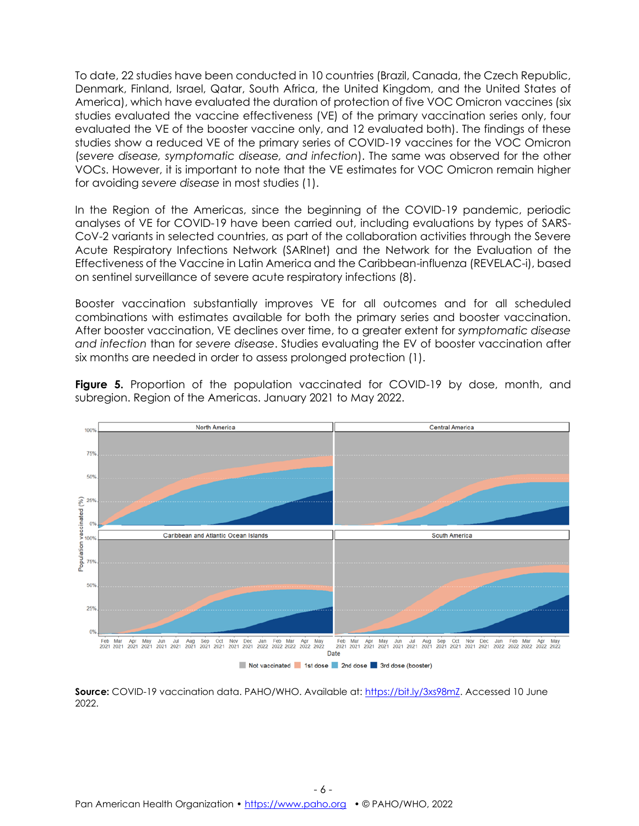To date, 22 studies have been conducted in 10 countries (Brazil, Canada, the Czech Republic, Denmark, Finland, Israel, Qatar, South Africa, the United Kingdom, and the United States of America), which have evaluated the duration of protection of five VOC Omicron vaccines (six studies evaluated the vaccine effectiveness (VE) of the primary vaccination series only, four evaluated the VE of the booster vaccine only, and 12 evaluated both). The findings of these studies show a reduced VE of the primary series of COVID-19 vaccines for the VOC Omicron (*severe disease, symptomatic disease, and infection*). The same was observed for the other VOCs. However, it is important to note that the VE estimates for VOC Omicron remain higher for avoiding *severe disease* in most studies (1).

In the Region of the Americas, since the beginning of the COVID-19 pandemic, periodic analyses of VE for COVID-19 have been carried out, including evaluations by types of SARS-CoV-2 variants in selected countries, as part of the collaboration activities through the Severe Acute Respiratory Infections Network (SARInet) and the Network for the Evaluation of the Effectiveness of the Vaccine in Latin America and the Caribbean-influenza (REVELAC-i), based on sentinel surveillance of severe acute respiratory infections (8).

Booster vaccination substantially improves VE for all outcomes and for all scheduled combinations with estimates available for both the primary series and booster vaccination. After booster vaccination, VE declines over time, to a greater extent for *symptomatic disease and infection* than for *severe disease*. Studies evaluating the EV of booster vaccination after six months are needed in order to assess prolonged protection (1).





Source: COVID-19 vaccination data. PAHO/WHO. Available at: [https://bit.ly/3xs98mZ.](https://bit.ly/3xs98mZ) Accessed 10 June 2022.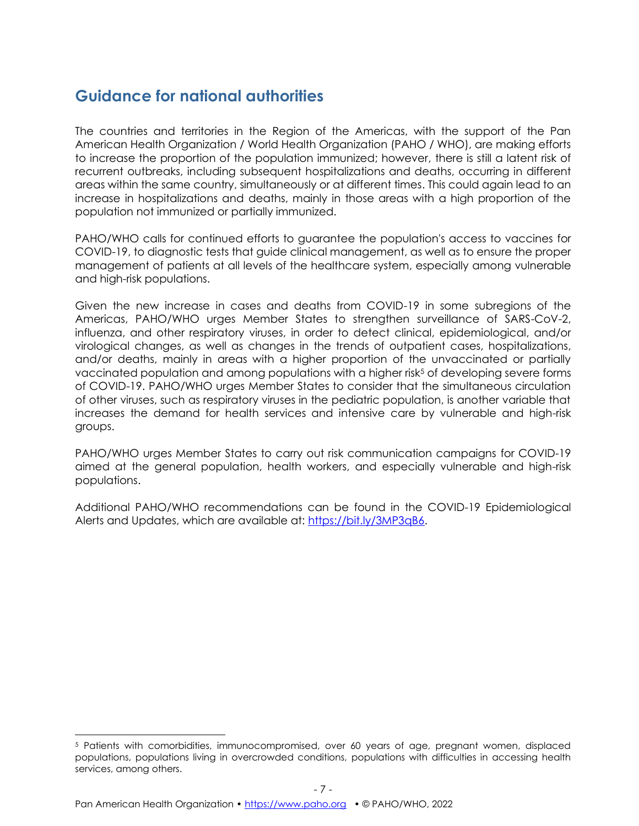# **Guidance for national authorities**

The countries and territories in the Region of the Americas, with the support of the Pan American Health Organization / World Health Organization (PAHO / WHO), are making efforts to increase the proportion of the population immunized; however, there is still a latent risk of recurrent outbreaks, including subsequent hospitalizations and deaths, occurring in different areas within the same country, simultaneously or at different times. This could again lead to an increase in hospitalizations and deaths, mainly in those areas with a high proportion of the population not immunized or partially immunized.

PAHO/WHO calls for continued efforts to guarantee the population's access to vaccines for COVID-19, to diagnostic tests that guide clinical management, as well as to ensure the proper management of patients at all levels of the healthcare system, especially among vulnerable and high-risk populations.

Given the new increase in cases and deaths from COVID-19 in some subregions of the Americas, PAHO/WHO urges Member States to strengthen surveillance of SARS-CoV-2, influenza, and other respiratory viruses, in order to detect clinical, epidemiological, and/or virological changes, as well as changes in the trends of outpatient cases, hospitalizations, and/or deaths, mainly in areas with a higher proportion of the unvaccinated or partially vaccinated population and among populations with a higher risk<sup>5</sup> of developing severe forms of COVID-19. PAHO/WHO urges Member States to consider that the simultaneous circulation of other viruses, such as respiratory viruses in the pediatric population, is another variable that increases the demand for health services and intensive care by vulnerable and high-risk groups.

PAHO/WHO urges Member States to carry out risk communication campaigns for COVID-19 aimed at the general population, health workers, and especially vulnerable and high-risk populations.

Additional PAHO/WHO recommendations can be found in the COVID-19 Epidemiological Alerts and Updates, which are available at: [https://bit.ly/3MP3qB6.](https://bit.ly/3MP3qB6)

<sup>5</sup> Patients with comorbidities, immunocompromised, over 60 years of age, pregnant women, displaced populations, populations living in overcrowded conditions, populations with difficulties in accessing health services, among others.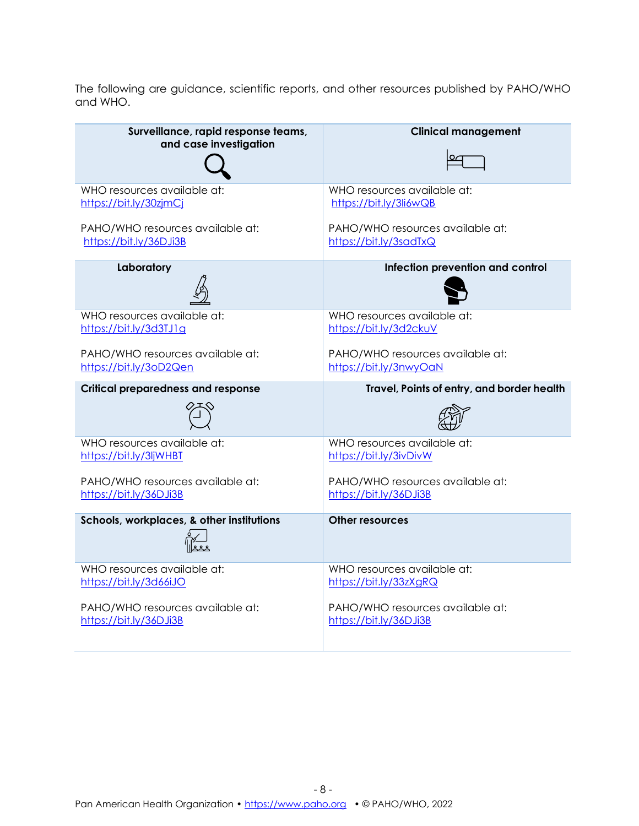The following are guidance, scientific reports, and other resources published by PAHO/WHO and WHO.

| Surveillance, rapid response teams,<br>and case investigation | <b>Clinical management</b>                 |
|---------------------------------------------------------------|--------------------------------------------|
|                                                               |                                            |
| WHO resources available at:                                   | WHO resources available at:                |
| https://bit.ly/30zjmCj                                        | https://bit.ly/3li6wQB                     |
| PAHO/WHO resources available at:                              | PAHO/WHO resources available at:           |
| https://bit.ly/36DJi3B                                        | https://bit.ly/3sadTxQ                     |
| Laboratory                                                    | Infection prevention and control           |
| WHO resources available at:                                   | WHO resources available at:                |
| https://bit.ly/3d3TJ1g                                        | https://bit.ly/3d2ckuV                     |
| PAHO/WHO resources available at:                              | PAHO/WHO resources available at:           |
| https://bit.ly/3oD2Qen                                        | https://bit.ly/3nwyOaN                     |
| <b>Critical preparedness and response</b>                     | Travel, Points of entry, and border health |
|                                                               |                                            |
| WHO resources available at:                                   | WHO resources available at:                |
| https://bit.ly/3ljWHBT                                        | https://bit.ly/3ivDivW                     |
|                                                               |                                            |
| PAHO/WHO resources available at:                              | PAHO/WHO resources available at:           |
| https://bit.ly/36DJi3B                                        | https://bit.ly/36DJi3B                     |
| Schools, workplaces, & other institutions                     | <b>Other resources</b>                     |
| WHO resources available at:                                   | WHO resources available at:                |
| https://bit.ly/3d66iJO                                        | https://bit.ly/33zXgRQ                     |